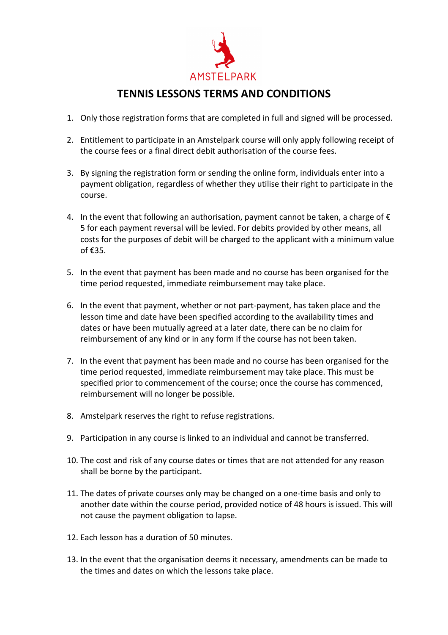

## **TENNIS LESSONS TERMS AND CONDITIONS**

- 1. Only those registration forms that are completed in full and signed will be processed.
- 2. Entitlement to participate in an Amstelpark course will only apply following receipt of the course fees or a final direct debit authorisation of the course fees.
- 3. By signing the registration form or sending the online form, individuals enter into a payment obligation, regardless of whether they utilise their right to participate in the course.
- 4. In the event that following an authorisation, payment cannot be taken, a charge of  $\epsilon$ 5 for each payment reversal will be levied. For debits provided by other means, all costs for the purposes of debit will be charged to the applicant with a minimum value of €35.
- 5. In the event that payment has been made and no course has been organised for the time period requested, immediate reimbursement may take place.
- 6. In the event that payment, whether or not part-payment, has taken place and the lesson time and date have been specified according to the availability times and dates or have been mutually agreed at a later date, there can be no claim for reimbursement of any kind or in any form if the course has not been taken.
- 7. In the event that payment has been made and no course has been organised for the time period requested, immediate reimbursement may take place. This must be specified prior to commencement of the course; once the course has commenced, reimbursement will no longer be possible.
- 8. Amstelpark reserves the right to refuse registrations.
- 9. Participation in any course is linked to an individual and cannot be transferred.
- 10. The cost and risk of any course dates or times that are not attended for any reason shall be borne by the participant.
- 11. The dates of private courses only may be changed on a one-time basis and only to another date within the course period, provided notice of 48 hours is issued. This will not cause the payment obligation to lapse.
- 12. Each lesson has a duration of 50 minutes.
- 13. In the event that the organisation deems it necessary, amendments can be made to the times and dates on which the lessons take place.